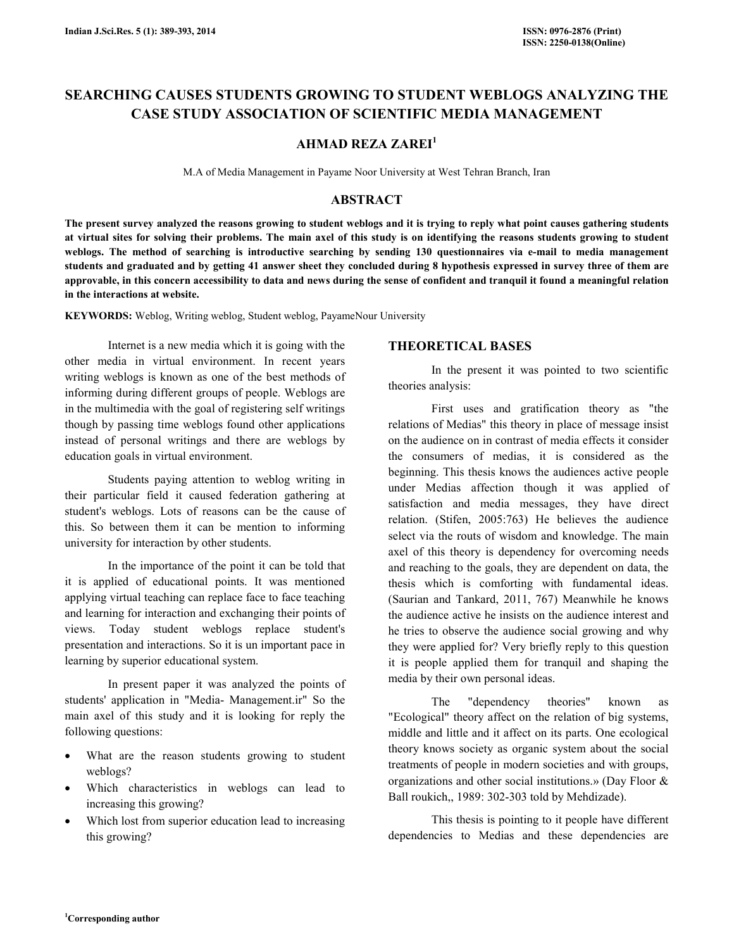# SEARCHING CAUSES STUDENTS GROWING TO STUDENT WEBLOGS ANALYZING THE CASE STUDY ASSOCIATION OF SCIENTIFIC MEDIA MANAGEMENT

## AHMAD REZA ZAREI<sup>1</sup>

M.A of Media Management in Payame Noor University at West Tehran Branch, Iran

# ABSTRACT

The present survey analyzed the reasons growing to student weblogs and it is trying to reply what point causes gathering students at virtual sites for solving their problems. The main axel of this study is on identifying the reasons students growing to student weblogs. The method of searching is introductive searching by sending 130 questionnaires via e-mail to media management students and graduated and by getting 41 answer sheet they concluded during 8 hypothesis expressed in survey three of them are approvable, in this concern accessibility to data and news during the sense of confident and tranquil it found a meaningful relation in the interactions at website.

KEYWORDS: Weblog, Writing weblog, Student weblog, PayameNour University

 Internet is a new media which it is going with the other media in virtual environment. In recent years writing weblogs is known as one of the best methods of informing during different groups of people. Weblogs are in the multimedia with the goal of registering self writings though by passing time weblogs found other applications instead of personal writings and there are weblogs by education goals in virtual environment.

 Students paying attention to weblog writing in their particular field it caused federation gathering at student's weblogs. Lots of reasons can be the cause of this. So between them it can be mention to informing university for interaction by other students.

 In the importance of the point it can be told that it is applied of educational points. It was mentioned applying virtual teaching can replace face to face teaching and learning for interaction and exchanging their points of views. Today student weblogs replace student's presentation and interactions. So it is un important pace in learning by superior educational system.

 In present paper it was analyzed the points of students' application in "Media- Management.ir" So the main axel of this study and it is looking for reply the following questions:

- What are the reason students growing to student weblogs?
- Which characteristics in weblogs can lead to increasing this growing?
- Which lost from superior education lead to increasing this growing?

# THEORETICAL BASES

 In the present it was pointed to two scientific theories analysis:

 First uses and gratification theory as "the relations of Medias" this theory in place of message insist on the audience on in contrast of media effects it consider the consumers of medias, it is considered as the beginning. This thesis knows the audiences active people under Medias affection though it was applied of satisfaction and media messages, they have direct relation. (Stifen, 2005:763) He believes the audience select via the routs of wisdom and knowledge. The main axel of this theory is dependency for overcoming needs and reaching to the goals, they are dependent on data, the thesis which is comforting with fundamental ideas. (Saurian and Tankard, 2011, 767) Meanwhile he knows the audience active he insists on the audience interest and he tries to observe the audience social growing and why they were applied for? Very briefly reply to this question it is people applied them for tranquil and shaping the media by their own personal ideas.

 The "dependency theories" known as "Ecological" theory affect on the relation of big systems, middle and little and it affect on its parts. One ecological theory knows society as organic system about the social treatments of people in modern societies and with groups, organizations and other social institutions.» (Day Floor & Ball roukich,, 1989: 302-303 told by Mehdizade).

 This thesis is pointing to it people have different dependencies to Medias and these dependencies are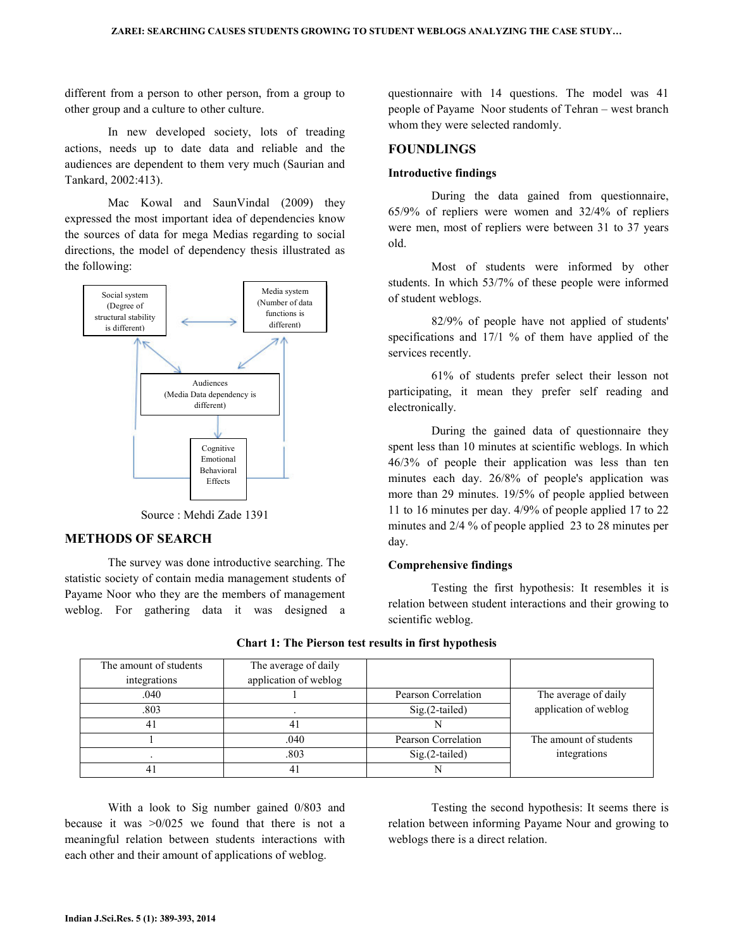different from a person to other person, from a group to other group and a culture to other culture.

 In new developed society, lots of treading actions, needs up to date data and reliable and the audiences are dependent to them very much (Saurian and Tankard, 2002:413).

 Mac Kowal and SaunVindal (2009) they expressed the most important idea of dependencies know the sources of data for mega Medias regarding to social directions, the model of dependency thesis illustrated as the following:



Source : Mehdi Zade 1391

## METHODS OF SEARCH

 The survey was done introductive searching. The statistic society of contain media management students of Payame Noor who they are the members of management weblog. For gathering data it was designed a questionnaire with 14 questions. The model was 41 people of Payame Noor students of Tehran – west branch whom they were selected randomly.

### FOUNDLINGS

#### Introductive findings

 During the data gained from questionnaire, 65/9% of repliers were women and 32/4% of repliers were men, most of repliers were between 31 to 37 years old.

 Most of students were informed by other students. In which 53/7% of these people were informed of student weblogs.

 82/9% of people have not applied of students' specifications and 17/1 % of them have applied of the services recently.

 61% of students prefer select their lesson not participating, it mean they prefer self reading and electronically.

 During the gained data of questionnaire they spent less than 10 minutes at scientific weblogs. In which 46/3% of people their application was less than ten minutes each day. 26/8% of people's application was more than 29 minutes. 19/5% of people applied between 11 to 16 minutes per day. 4/9% of people applied 17 to 22 minutes and 2/4 % of people applied 23 to 28 minutes per day.

#### Comprehensive findings

 Testing the first hypothesis: It resembles it is relation between student interactions and their growing to scientific weblog.

| The amount of students | The average of daily  |                     |                        |
|------------------------|-----------------------|---------------------|------------------------|
| integrations           | application of weblog |                     |                        |
| .040                   |                       | Pearson Correlation | The average of daily   |
| .803                   |                       | $Sig.(2-tailed)$    | application of weblog  |
|                        | 41                    |                     |                        |
|                        | .040                  | Pearson Correlation | The amount of students |
|                        | .803                  | $Sig.(2-tailed)$    | integrations           |
|                        | 41                    |                     |                        |

Chart 1: The Pierson test results in first hypothesis

 With a look to Sig number gained 0/803 and because it was  $>0/025$  we found that there is not a meaningful relation between students interactions with each other and their amount of applications of weblog.

 Testing the second hypothesis: It seems there is relation between informing Payame Nour and growing to weblogs there is a direct relation.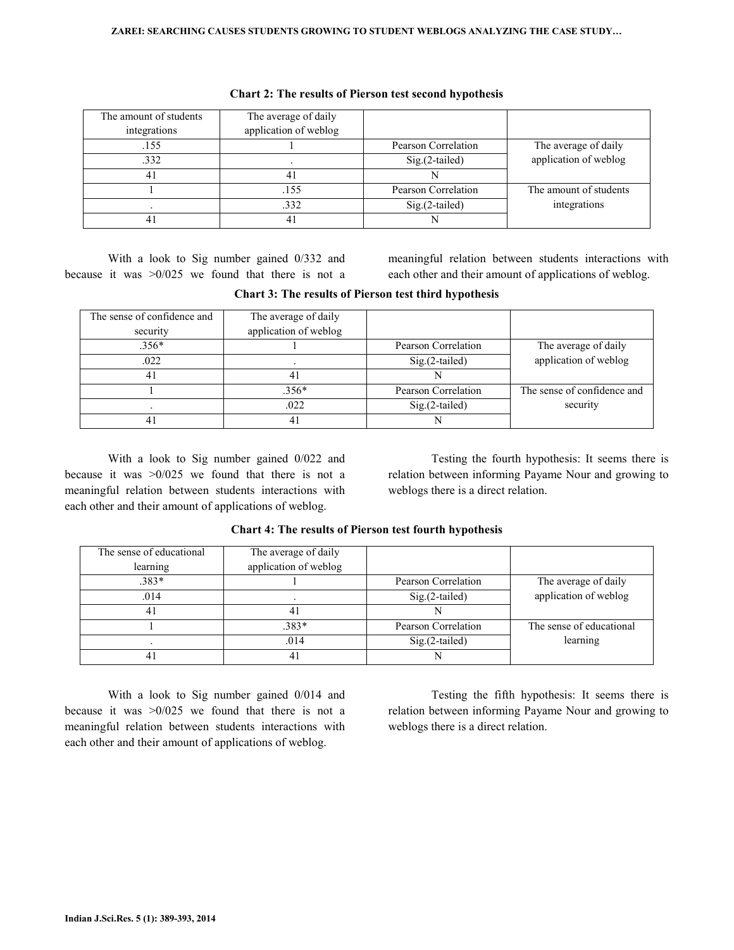| The amount of students<br>integrations | The average of daily<br>application of weblog |                     |                        |
|----------------------------------------|-----------------------------------------------|---------------------|------------------------|
|                                        |                                               |                     |                        |
| .155                                   |                                               | Pearson Correlation | The average of daily   |
| .332                                   |                                               | $Sig.(2-tailed)$    | application of weblog  |
| 41                                     |                                               | N                   |                        |
|                                        | .155                                          | Pearson Correlation | The amount of students |
|                                        | .332                                          | $Sig.(2-tailed)$    | integrations           |
| 41                                     |                                               | N                   |                        |

| <b>Chart 2: The results of Pierson test second hypothesis</b> |  |  |
|---------------------------------------------------------------|--|--|
|                                                               |  |  |

 With a look to Sig number gained 0/332 and because it was  $>0/025$  we found that there is not a meaningful relation between students interactions with each other and their amount of applications of weblog.

|  |  |  |  |  |  |  |  | <b>Chart 3: The results of Pierson test third hypothesis</b> |
|--|--|--|--|--|--|--|--|--------------------------------------------------------------|
|--|--|--|--|--|--|--|--|--------------------------------------------------------------|

| The sense of confidence and | The average of daily  |                     |                             |
|-----------------------------|-----------------------|---------------------|-----------------------------|
| security                    | application of weblog |                     |                             |
| $.356*$                     |                       | Pearson Correlation | The average of daily        |
| .022                        |                       | $Sig.(2-tailed)$    | application of weblog       |
| 4                           | 41                    |                     |                             |
|                             | $.356*$               | Pearson Correlation | The sense of confidence and |
|                             | .022                  | $Sig.(2-tailed)$    | security                    |
|                             | 41                    |                     |                             |

 With a look to Sig number gained 0/022 and because it was >0/025 we found that there is not a meaningful relation between students interactions with each other and their amount of applications of weblog.

 Testing the fourth hypothesis: It seems there is relation between informing Payame Nour and growing to weblogs there is a direct relation.

| The sense of educational | The average of daily  |                     |                          |
|--------------------------|-----------------------|---------------------|--------------------------|
| learning                 | application of weblog |                     |                          |
| $.383*$                  |                       | Pearson Correlation | The average of daily     |
| .014                     |                       | $Sig.(2-tailed)$    | application of weblog    |
| 41                       | 41                    |                     |                          |
|                          | $.383*$               | Pearson Correlation | The sense of educational |
|                          | .014                  | $Sig.(2-tailed)$    | learning                 |
|                          | 41                    |                     |                          |

Chart 4: The results of Pierson test fourth hypothesis

 With a look to Sig number gained 0/014 and because it was  $>0/025$  we found that there is not a meaningful relation between students interactions with each other and their amount of applications of weblog.

 Testing the fifth hypothesis: It seems there is relation between informing Payame Nour and growing to weblogs there is a direct relation.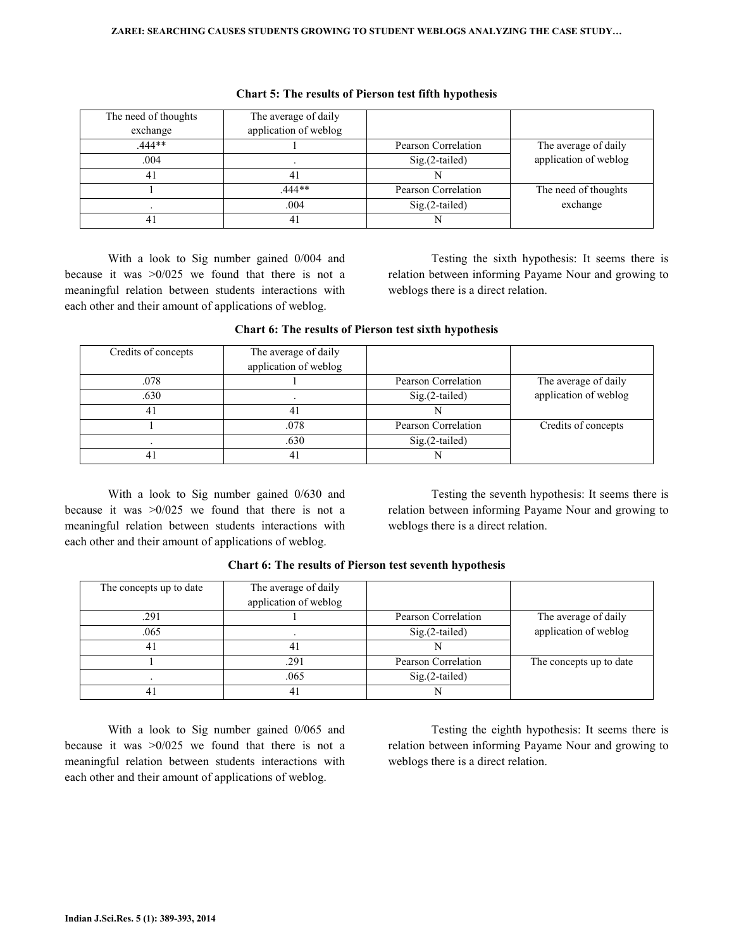| The need of thoughts | The average of daily  |                     |                       |
|----------------------|-----------------------|---------------------|-----------------------|
| exchange             | application of weblog |                     |                       |
| $.444**$             |                       | Pearson Correlation | The average of daily  |
| .004                 |                       | $Sig(2-tailed)$     | application of weblog |
| 41                   | 41                    |                     |                       |
|                      | 444**                 | Pearson Correlation | The need of thoughts  |
|                      | .004                  |                     | exchange              |
|                      | 41                    |                     |                       |

|  |  |  |  |  | <b>Chart 5: The results of Pierson test fifth hypothesis</b> |
|--|--|--|--|--|--------------------------------------------------------------|
|--|--|--|--|--|--------------------------------------------------------------|

 With a look to Sig number gained 0/004 and because it was  $>0/025$  we found that there is not a meaningful relation between students interactions with each other and their amount of applications of weblog.

 Testing the sixth hypothesis: It seems there is relation between informing Payame Nour and growing to weblogs there is a direct relation.

| Credits of concepts | The average of daily  |                     |                       |
|---------------------|-----------------------|---------------------|-----------------------|
|                     | application of weblog |                     |                       |
| .078                |                       | Pearson Correlation | The average of daily  |
| .630                |                       | $Sig(2-tailed)$     | application of weblog |
| 41                  | 41                    |                     |                       |
|                     | .078                  | Pearson Correlation | Credits of concepts   |
|                     | .630                  | $Sig(2-tailed)$     |                       |
|                     |                       |                     |                       |

|  |  |  |  |  |  |  | <b>Chart 6: The results of Pierson test sixth hypothesis</b> |
|--|--|--|--|--|--|--|--------------------------------------------------------------|
|--|--|--|--|--|--|--|--------------------------------------------------------------|

 With a look to Sig number gained 0/630 and because it was  $>0/025$  we found that there is not a meaningful relation between students interactions with each other and their amount of applications of weblog.

 Testing the seventh hypothesis: It seems there is relation between informing Payame Nour and growing to weblogs there is a direct relation.

| The concepts up to date | The average of daily  |                     |                         |
|-------------------------|-----------------------|---------------------|-------------------------|
|                         | application of weblog |                     |                         |
| .291                    |                       | Pearson Correlation | The average of daily    |
| .065                    |                       | $Sig.(2-tailed)$    | application of weblog   |
| 4                       | 41                    |                     |                         |
|                         | .291                  | Pearson Correlation | The concepts up to date |
|                         | .065                  | $Sig.(2-tailed)$    |                         |
|                         | 41                    |                     |                         |

|  |  |  |  |  |  |  | <b>Chart 6: The results of Pierson test seventh hypothesis</b> |
|--|--|--|--|--|--|--|----------------------------------------------------------------|
|--|--|--|--|--|--|--|----------------------------------------------------------------|

 With a look to Sig number gained 0/065 and because it was >0/025 we found that there is not a meaningful relation between students interactions with each other and their amount of applications of weblog.

 Testing the eighth hypothesis: It seems there is relation between informing Payame Nour and growing to weblogs there is a direct relation.